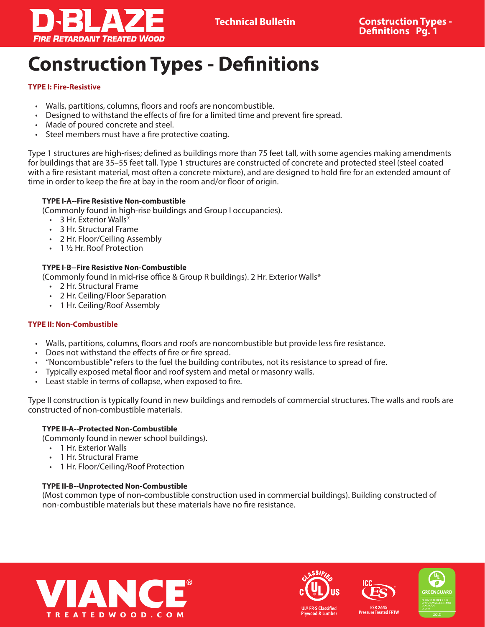

# **Construction Types - Definitions**

## **TYPE I: Fire-Resistive**

- Walls, partitions, columns, floors and roofs are noncombustible.
- Designed to withstand the effects of fire for a limited time and prevent fire spread.
- Made of poured concrete and steel.
- Steel members must have a fire protective coating.

Type 1 structures are high-rises; defined as buildings more than 75 feet tall, with some agencies making amendments for buildings that are 35–55 feet tall. Type 1 structures are constructed of concrete and protected steel (steel coated with a fire resistant material, most often a concrete mixture), and are designed to hold fire for an extended amount of time in order to keep the fire at bay in the room and/or floor of origin.

## **TYPE I-A--Fire Resistive Non-combustible**

(Commonly found in high-rise buildings and Group I occupancies).

- 3 Hr. Exterior Walls\*
- 3 Hr. Structural Frame
- 2 Hr. Floor/Ceiling Assembly
- 1 1/2 Hr. Roof Protection

# **TYPE I-B--Fire Resistive Non-Combustible**

(Commonly found in mid-rise office & Group R buildings). 2 Hr. Exterior Walls\*

- 2 Hr. Structural Frame
- 2 Hr. Ceiling/Floor Separation
- 1 Hr. Ceiling/Roof Assembly

# **TYPE II: Non-Combustible**

- Walls, partitions, columns, floors and roofs are noncombustible but provide less fire resistance.
- Does not withstand the effects of fire or fire spread.
- "Noncombustible" refers to the fuel the building contributes, not its resistance to spread of fire.
- Typically exposed metal floor and roof system and metal or masonry walls.
- Least stable in terms of collapse, when exposed to fire.

Type II construction is typically found in new buildings and remodels of commercial structures. The walls and roofs are constructed of non-combustible materials.

## **TYPE II-A--Protected Non-Combustible**

(Commonly found in newer school buildings).

- 1 Hr. Exterior Walls
- 1 Hr. Structural Frame
- 1 Hr. Floor/Ceiling/Roof Protection

## **TYPE II-B--Unprotected Non-Combustible**

(Most common type of non-combustible construction used in commercial buildings). Building constructed of non-combustible materials but these materials have no fire resistance.







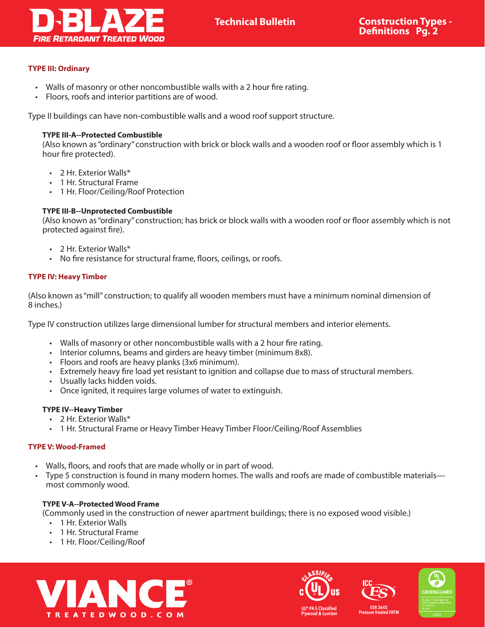

#### **TYPE III: Ordinary**

- Walls of masonry or other noncombustible walls with a 2 hour fire rating.
- Floors, roofs and interior partitions are of wood.

Type II buildings can have non-combustible walls and a wood roof support structure.

### **TYPE III-A--Protected Combustible**

(Also known as "ordinary" construction with brick or block walls and a wooden roof or floor assembly which is 1 hour fire protected).

- 2 Hr. Exterior Walls\*
- 1 Hr. Structural Frame
- 1 Hr. Floor/Ceiling/Roof Protection

#### **TYPE III-B--Unprotected Combustible**

(Also known as "ordinary" construction; has brick or block walls with a wooden roof or floor assembly which is not protected against fire).

- 2 Hr. Exterior Walls\*
- No fire resistance for structural frame, floors, ceilings, or roofs.

#### **TYPE IV: Heavy Timber**

(Also known as "mill" construction; to qualify all wooden members must have a minimum nominal dimension of 8 inches.)

Type IV construction utilizes large dimensional lumber for structural members and interior elements.

- Walls of masonry or other noncombustible walls with a 2 hour fire rating.
- Interior columns, beams and girders are heavy timber (minimum 8x8).
- Floors and roofs are heavy planks (3x6 minimum).
- Extremely heavy fire load yet resistant to ignition and collapse due to mass of structural members.
- Usually lacks hidden voids.
- Once ignited, it requires large volumes of water to extinguish.

#### **TYPE IV--Heavy Timber**

- 2 Hr. Exterior Walls\*
- 1 Hr. Structural Frame or Heavy Timber Heavy Timber Floor/Ceiling/Roof Assemblies

#### **TYPE V: Wood-Framed**

- Walls, floors, and roofs that are made wholly or in part of wood.
- Type 5 construction is found in many modern homes. The walls and roofs are made of combustible materials most commonly wood.

# **TYPE V-A--Protected Wood Frame**

(Commonly used in the construction of newer apartment buildings; there is no exposed wood visible.)

- 1 Hr. Exterior Walls
- 1 Hr. Structural Frame
- 1 Hr. Floor/Ceiling/Roof